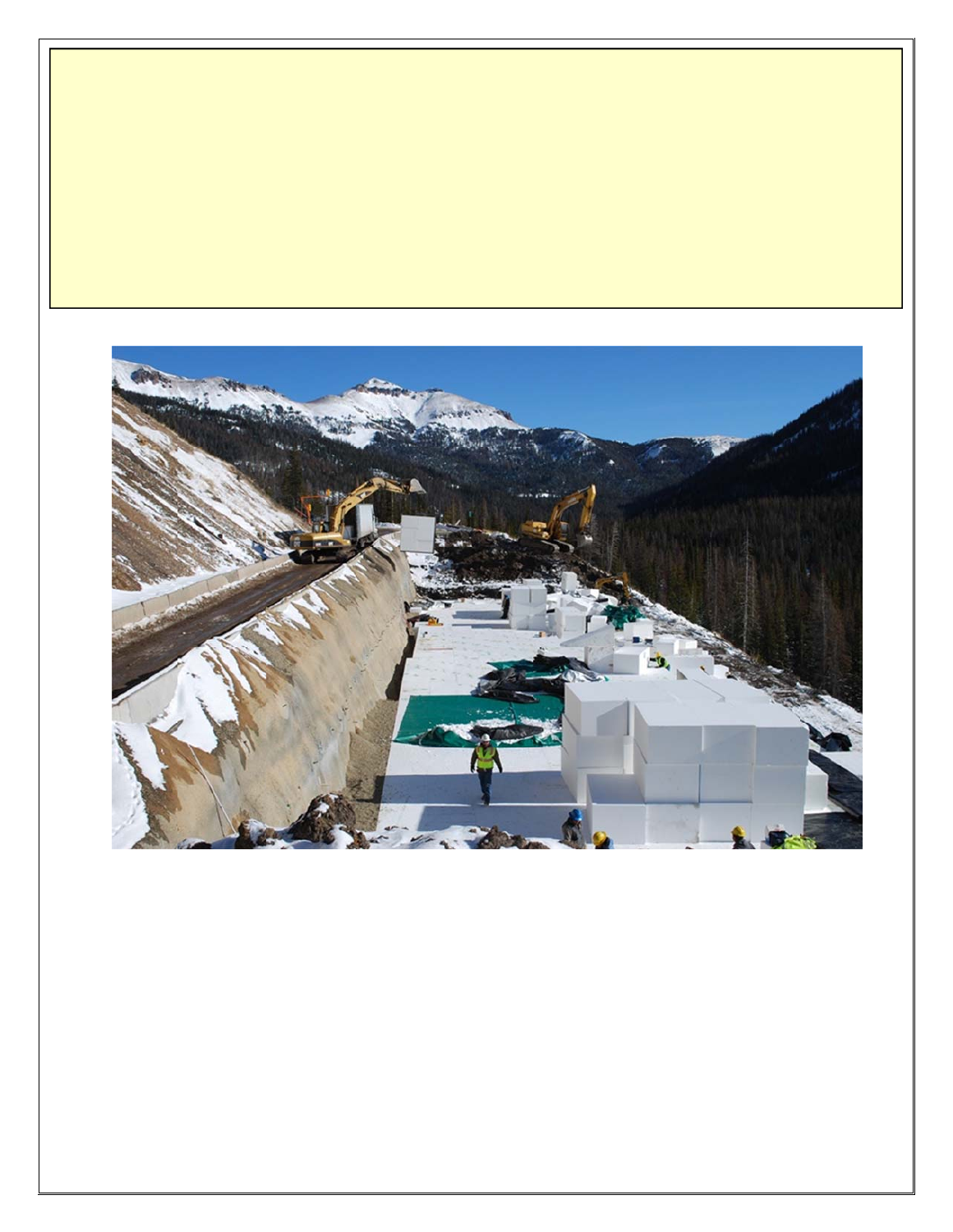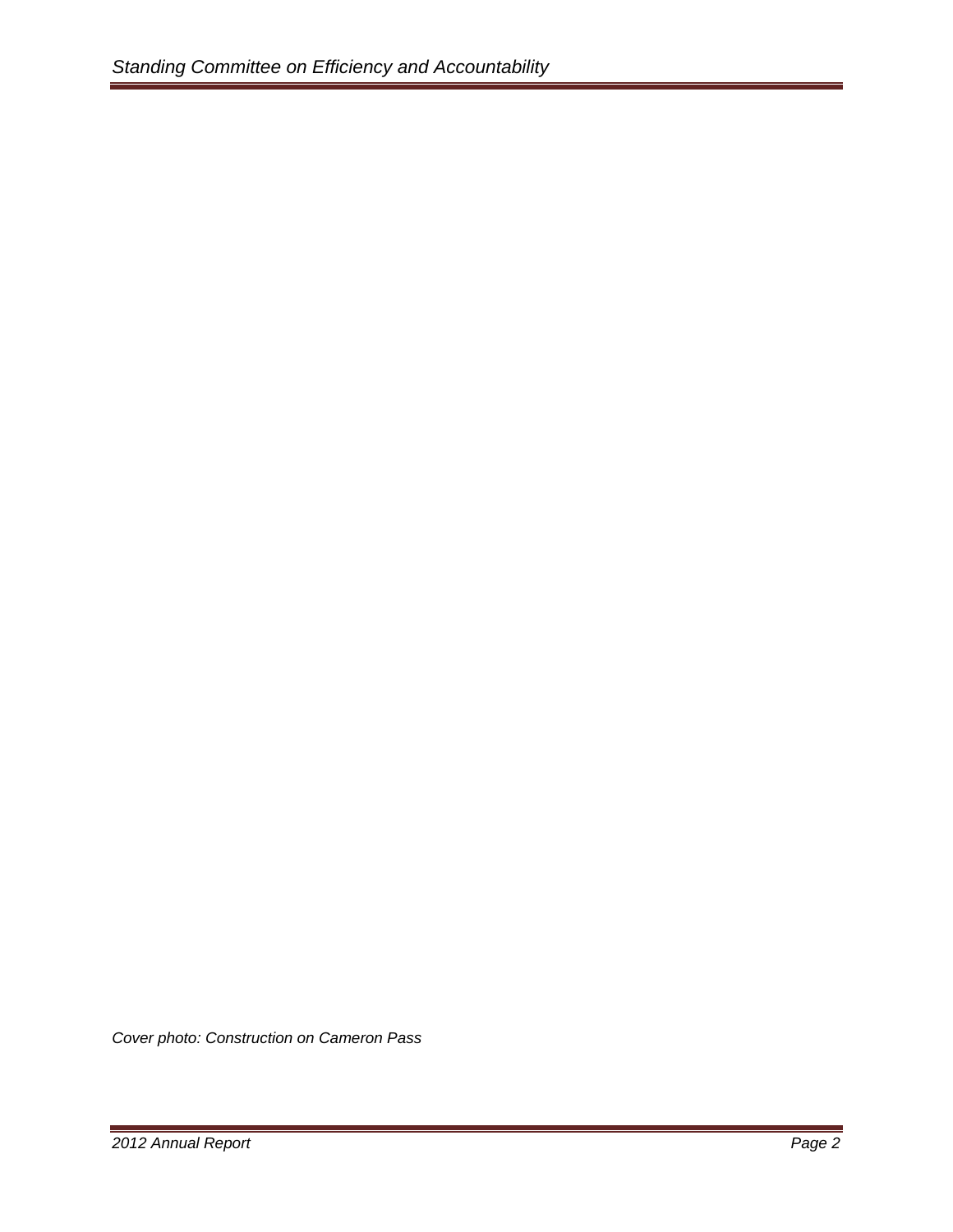*Cover photo: Construction on Cameron Pass*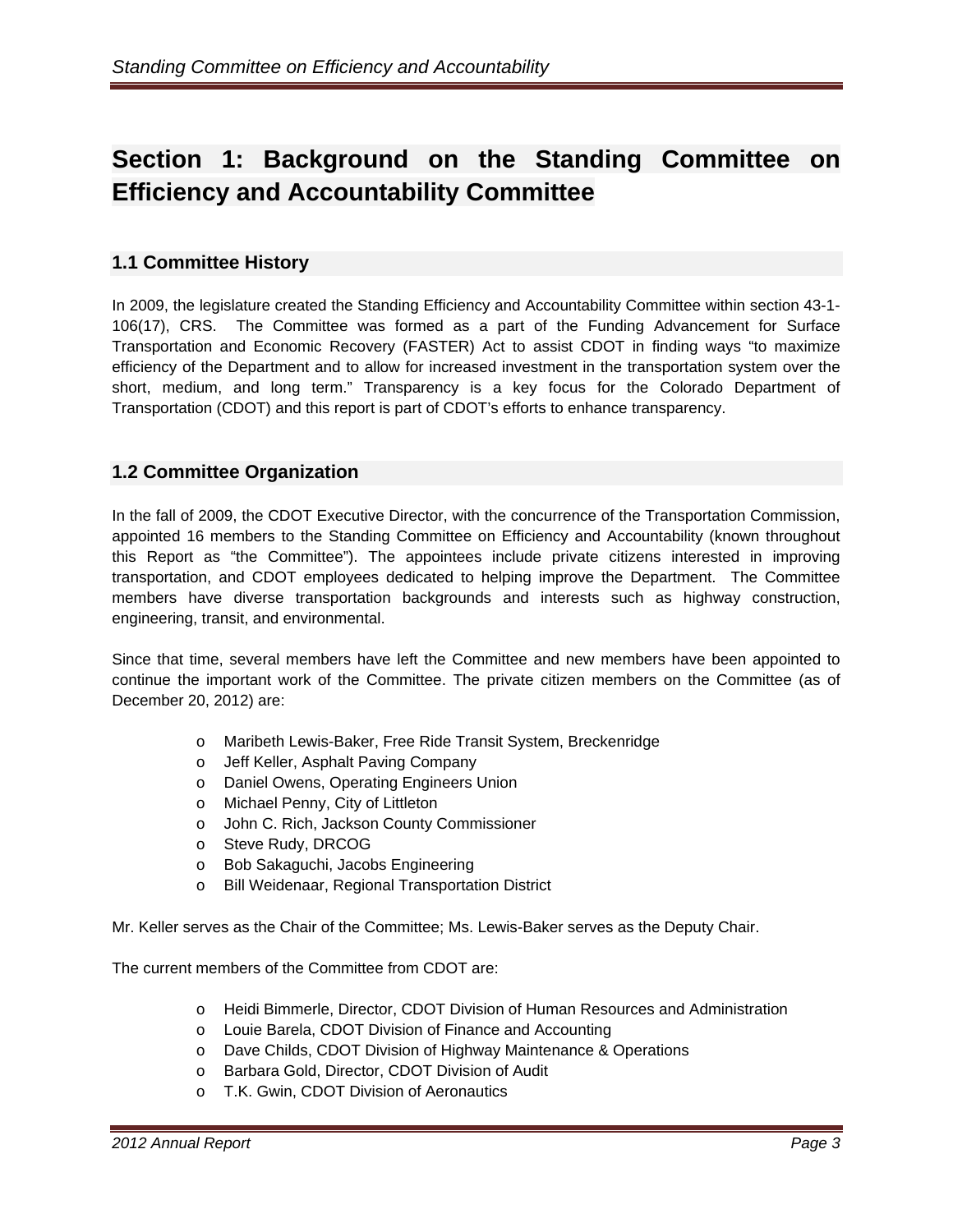# **Section 1: Background on the Standing Committee on Efficiency and Accountability Committee**

## **1.1 Committee History**

In 2009, the legislature created the Standing Efficiency and Accountability Committee within section 43-1- 106(17), CRS. The Committee was formed as a part of the Funding Advancement for Surface Transportation and Economic Recovery (FASTER) Act to assist CDOT in finding ways "to maximize efficiency of the Department and to allow for increased investment in the transportation system over the short, medium, and long term." Transparency is a key focus for the Colorado Department of Transportation (CDOT) and this report is part of CDOT's efforts to enhance transparency.

#### **1.2 Committee Organization**

In the fall of 2009, the CDOT Executive Director, with the concurrence of the Transportation Commission, appointed 16 members to the Standing Committee on Efficiency and Accountability (known throughout this Report as "the Committee"). The appointees include private citizens interested in improving transportation, and CDOT employees dedicated to helping improve the Department. The Committee members have diverse transportation backgrounds and interests such as highway construction, engineering, transit, and environmental.

Since that time, several members have left the Committee and new members have been appointed to continue the important work of the Committee. The private citizen members on the Committee (as of December 20, 2012) are:

- o Maribeth Lewis-Baker, Free Ride Transit System, Breckenridge
- o Jeff Keller, Asphalt Paving Company
- o Daniel Owens, Operating Engineers Union
- o Michael Penny, City of Littleton
- o John C. Rich, Jackson County Commissioner
- o Steve Rudy, DRCOG
- o Bob Sakaguchi, Jacobs Engineering
- o Bill Weidenaar, Regional Transportation District

Mr. Keller serves as the Chair of the Committee; Ms. Lewis-Baker serves as the Deputy Chair.

The current members of the Committee from CDOT are:

- o Heidi Bimmerle, Director, CDOT Division of Human Resources and Administration
- o Louie Barela, CDOT Division of Finance and Accounting
- o Dave Childs, CDOT Division of Highway Maintenance & Operations
- o Barbara Gold, Director, CDOT Division of Audit
- o T.K. Gwin, CDOT Division of Aeronautics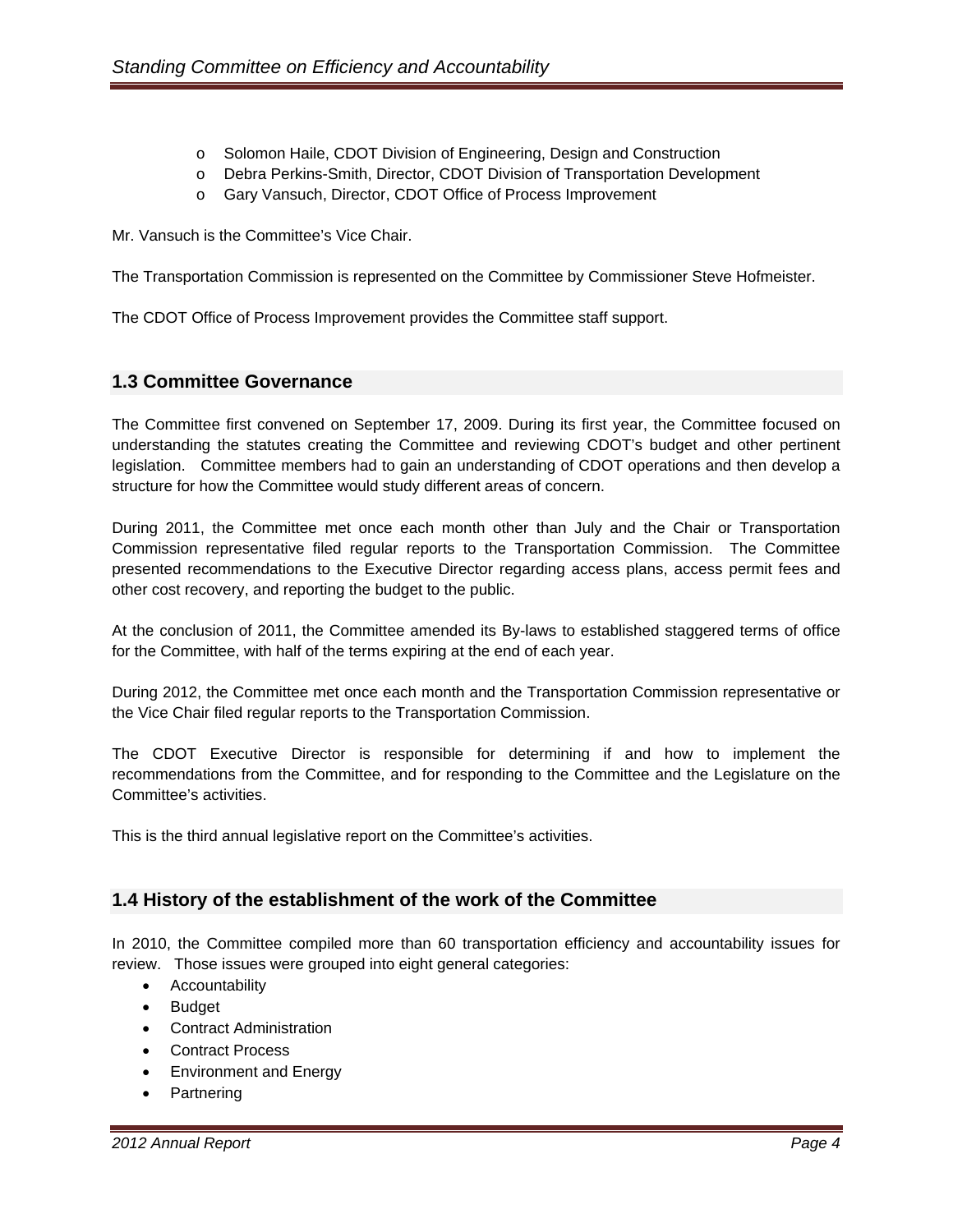- o Solomon Haile, CDOT Division of Engineering, Design and Construction
- o Debra Perkins-Smith, Director, CDOT Division of Transportation Development
- o Gary Vansuch, Director, CDOT Office of Process Improvement

Mr. Vansuch is the Committee's Vice Chair.

The Transportation Commission is represented on the Committee by Commissioner Steve Hofmeister.

The CDOT Office of Process Improvement provides the Committee staff support.

#### **1.3 Committee Governance**

The Committee first convened on September 17, 2009. During its first year, the Committee focused on understanding the statutes creating the Committee and reviewing CDOT's budget and other pertinent legislation. Committee members had to gain an understanding of CDOT operations and then develop a structure for how the Committee would study different areas of concern.

During 2011, the Committee met once each month other than July and the Chair or Transportation Commission representative filed regular reports to the Transportation Commission. The Committee presented recommendations to the Executive Director regarding access plans, access permit fees and other cost recovery, and reporting the budget to the public.

At the conclusion of 2011, the Committee amended its By-laws to established staggered terms of office for the Committee, with half of the terms expiring at the end of each year.

During 2012, the Committee met once each month and the Transportation Commission representative or the Vice Chair filed regular reports to the Transportation Commission.

The CDOT Executive Director is responsible for determining if and how to implement the recommendations from the Committee, and for responding to the Committee and the Legislature on the Committee's activities.

This is the third annual legislative report on the Committee's activities.

#### **1.4 History of the establishment of the work of the Committee**

In 2010, the Committee compiled more than 60 transportation efficiency and accountability issues for review. Those issues were grouped into eight general categories:

- **•** Accountability
- Budget
- Contract Administration
- Contract Process
- **Environment and Energy**
- Partnering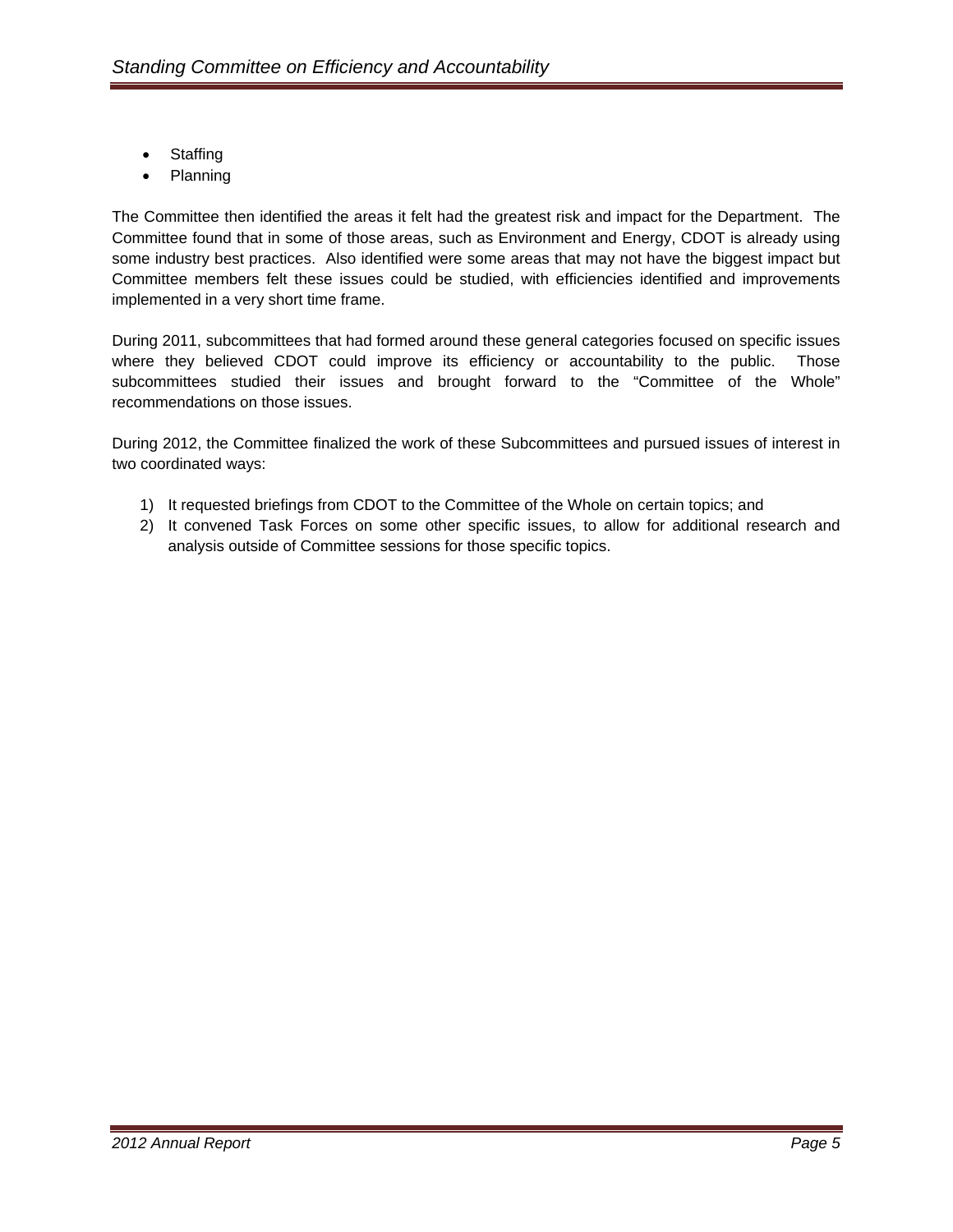- Staffing
- Planning

The Committee then identified the areas it felt had the greatest risk and impact for the Department. The Committee found that in some of those areas, such as Environment and Energy, CDOT is already using some industry best practices. Also identified were some areas that may not have the biggest impact but Committee members felt these issues could be studied, with efficiencies identified and improvements implemented in a very short time frame.

During 2011, subcommittees that had formed around these general categories focused on specific issues where they believed CDOT could improve its efficiency or accountability to the public. Those subcommittees studied their issues and brought forward to the "Committee of the Whole" recommendations on those issues.

During 2012, the Committee finalized the work of these Subcommittees and pursued issues of interest in two coordinated ways:

- 1) It requested briefings from CDOT to the Committee of the Whole on certain topics; and
- 2) It convened Task Forces on some other specific issues, to allow for additional research and analysis outside of Committee sessions for those specific topics.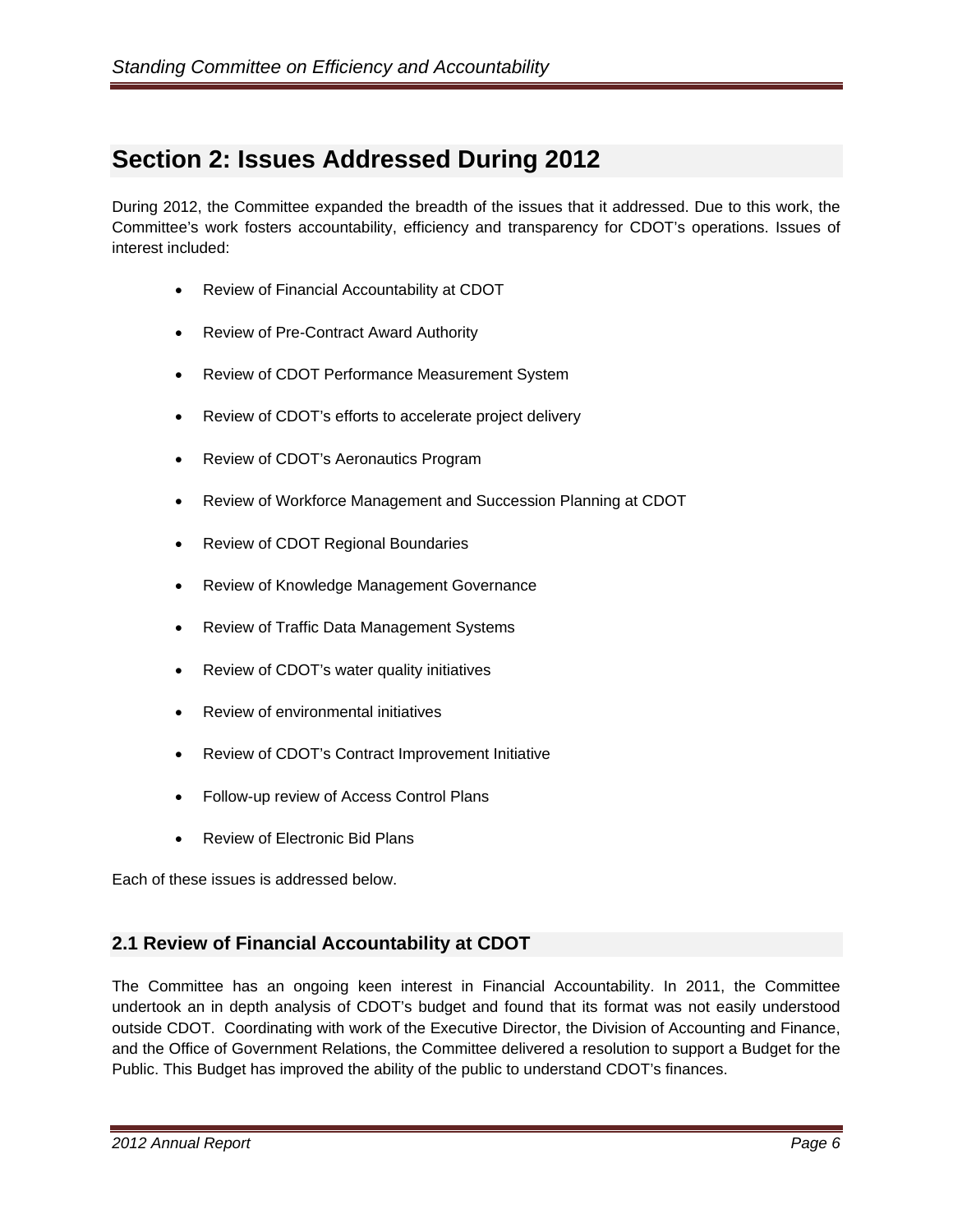## **Section 2: Issues Addressed During 2012**

During 2012, the Committee expanded the breadth of the issues that it addressed. Due to this work, the Committee's work fosters accountability, efficiency and transparency for CDOT's operations. Issues of interest included:

- Review of Financial Accountability at CDOT
- Review of Pre-Contract Award Authority
- Review of CDOT Performance Measurement System
- Review of CDOT's efforts to accelerate project delivery
- Review of CDOT's Aeronautics Program
- Review of Workforce Management and Succession Planning at CDOT
- Review of CDOT Regional Boundaries
- Review of Knowledge Management Governance
- Review of Traffic Data Management Systems
- Review of CDOT's water quality initiatives
- Review of environmental initiatives
- Review of CDOT's Contract Improvement Initiative
- Follow-up review of Access Control Plans
- Review of Electronic Bid Plans

Each of these issues is addressed below.

### **2.1 Review of Financial Accountability at CDOT**

The Committee has an ongoing keen interest in Financial Accountability. In 2011, the Committee undertook an in depth analysis of CDOT's budget and found that its format was not easily understood outside CDOT. Coordinating with work of the Executive Director, the Division of Accounting and Finance, and the Office of Government Relations, the Committee delivered a resolution to support a Budget for the Public. This Budget has improved the ability of the public to understand CDOT's finances.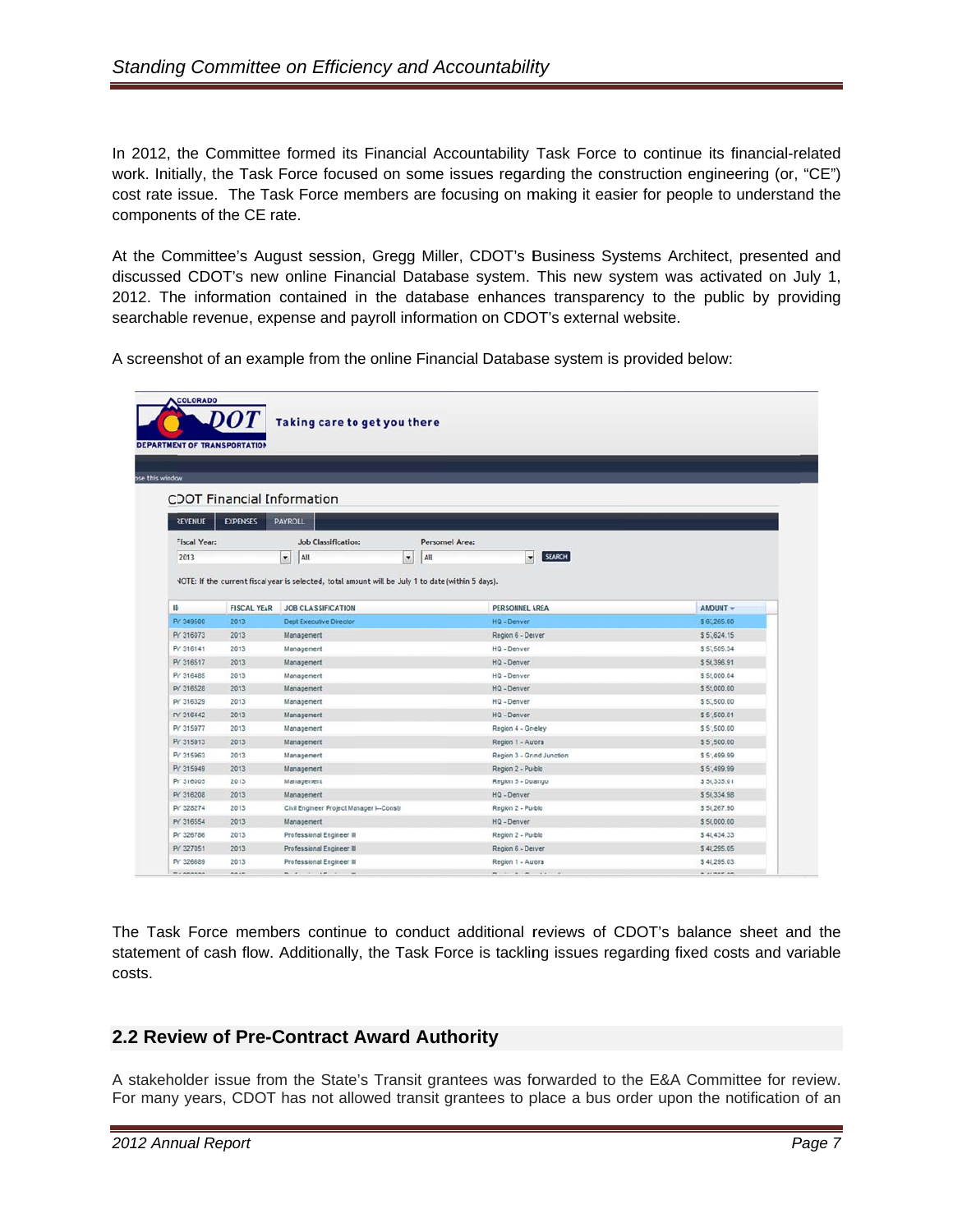In 2012, the Committee formed its Financial Accountability Task Force to continue its financial-related work. Initially, the Task Force focused on some issues regarding the construction engineering (or, "CE") cost rate issue. The Task Force members are focusing on making it easier for people to understand the components of the CE rate.

At the Committee's August session, Gregg Miller, CDOT's Business Systems Architect, presented and discussed CDOT's new online Financial Database system. This new system was activated on July 1, 2012. The information contained in the database enhances transparency to the public by providing searchable revenue, expense and payroll information on CDOT's external website.

A screenshot of an example from the online Financial Database system is provided below:

|                        | COLORADO                     | Taking care to get you there                                                                       |                  |                                       |             |
|------------------------|------------------------------|----------------------------------------------------------------------------------------------------|------------------|---------------------------------------|-------------|
|                        |                              |                                                                                                    |                  |                                       |             |
|                        | DEPARTMENT OF TRANSPORTATION |                                                                                                    |                  |                                       |             |
|                        |                              |                                                                                                    |                  |                                       |             |
| ose this window        |                              |                                                                                                    |                  |                                       |             |
|                        |                              | <b>CDOT Financial Information</b>                                                                  |                  |                                       |             |
|                        |                              |                                                                                                    |                  |                                       |             |
| <b>REVENUE</b>         | <b>EXPENSES</b>              | <b>PAYROLL</b>                                                                                     |                  |                                       |             |
| <b>Fiscal Year:</b>    |                              | <b>Job Classification:</b>                                                                         | Personnel Area:  |                                       |             |
| 2013                   |                              | $\bullet$<br>All                                                                                   | $\bullet$<br>All | $\blacktriangledown$<br><b>SEARCH</b> |             |
|                        |                              |                                                                                                    |                  |                                       |             |
|                        |                              | NOTE: If the current fiscal year is selected, total amount will be July 1 to date (within 5 days). |                  |                                       |             |
|                        |                              |                                                                                                    |                  |                                       |             |
| ID.                    | <b>FISCAL YEAR</b>           | <b>JOB CLASSIFICATION</b>                                                                          |                  | <b>PERSONNEL AREA</b>                 | AMOUNT -    |
| Pr 349500              | 2013                         | <b>Dept Executive Director</b>                                                                     |                  | HQ - Denver                           | \$63,265.00 |
| PY 316073              | 2013                         | Management                                                                                         |                  | Region 6 - Denver                     | \$57,624.15 |
| PY 316141              | 2013                         | Management                                                                                         |                  | HQ - Denver                           | \$57,505.34 |
| PY 316517              | 2013                         | Management                                                                                         |                  | HQ - Denver                           | \$56,396.91 |
| PY 316485              | 2013                         | Management                                                                                         |                  | HQ - Denver                           | \$55,000.04 |
|                        | 2013                         | Management                                                                                         |                  | HQ - Denver                           | \$55,000.00 |
| PY 316528              |                              |                                                                                                    |                  |                                       |             |
|                        | 2013                         | Management                                                                                         |                  | HQ - Denver                           | \$53,500.00 |
| PY 316329<br>PY 316442 | 2013                         | Management                                                                                         |                  | HQ - Denver                           | \$51,500.01 |
| PY 315977              | 2013                         | Management                                                                                         |                  | Region 4 - Greeley                    | \$51,500.00 |
| PY 315913              | 2013                         | Management                                                                                         |                  | Region 1 - Aurora                     | \$51,500.00 |
|                        | 2013                         | Management                                                                                         |                  | Region 3 - Grand Junction             | \$51,499.99 |
| Pr 315963<br>Pr 315949 | 2013                         | Management                                                                                         |                  | Region 2 - Putblo                     | \$51,499.99 |
| Pr 316005              | 2013                         | Management                                                                                         |                  | Region 5 - Durango                    | \$50,335.01 |
| PY 316208              | 2013                         | Management                                                                                         |                  | HQ - Denver                           | \$50,334.98 |
| PY 328274              | 2013                         | Civil Engineer Project Manager I--Constr                                                           |                  | Region 2 - Pueblo                     | \$50,267.90 |
| PY 316554              | 2013                         | Management                                                                                         |                  | HQ - Denver                           | \$50,000.00 |
| PY 326786              | 2013                         | Professional Engineer III                                                                          |                  | Region 2 - Putblo                     | \$48,434.33 |
| Pr 327051              | 2013                         | Professional Engineer III                                                                          |                  | Region 6 - Desver                     | \$48,295.05 |

The Task Force members continue to conduct additional reviews of CDOT's balance sheet and the statement of cash flow. Additionally, the Task Force is tackling issues regarding fixed costs and variable costs.

#### 2.2 Review of Pre-Contract Award Authority

A stakeholder issue from the State's Transit grantees was forwarded to the E&A Committee for review. For many years, CDOT has not allowed transit grantees to place a bus order upon the notification of an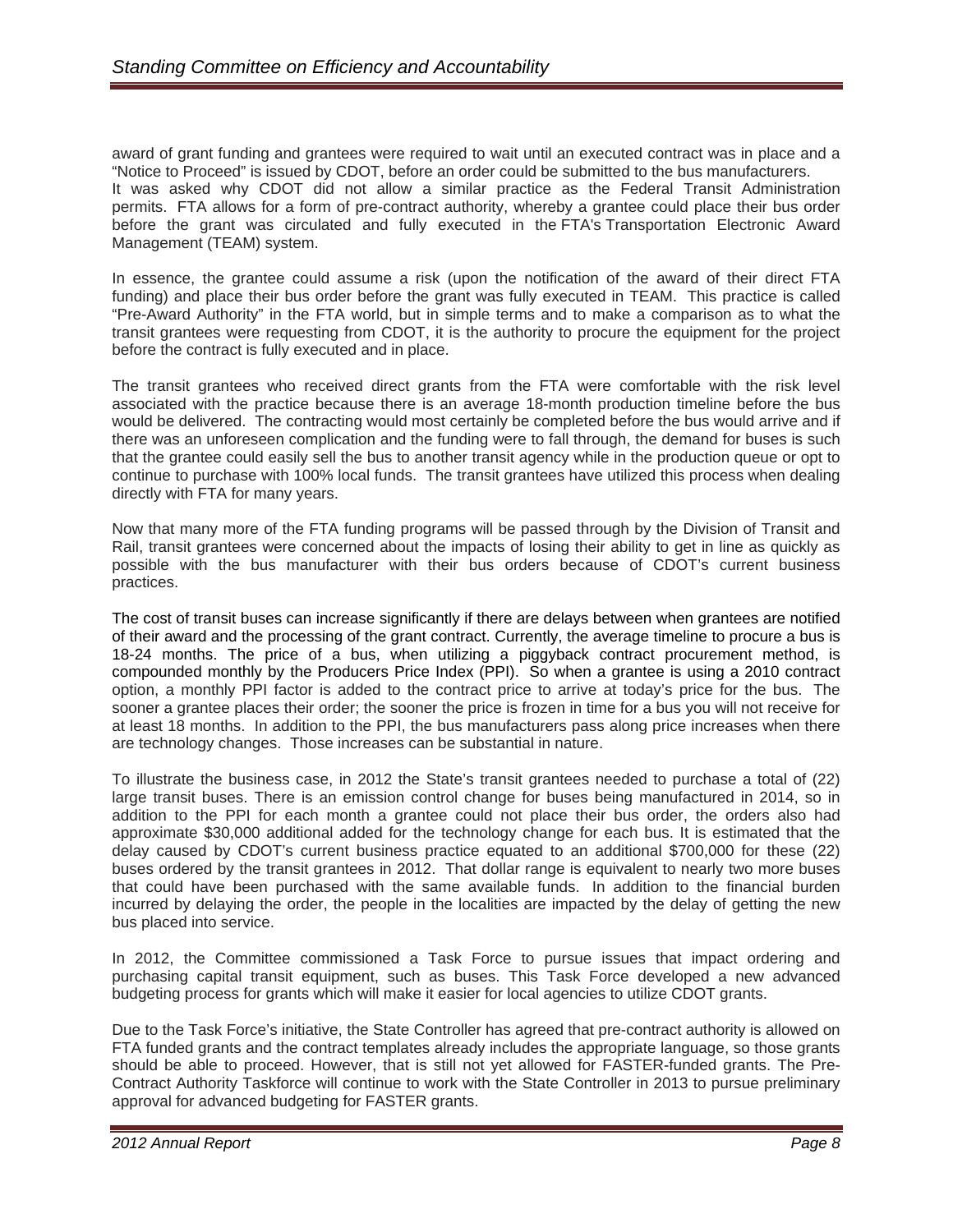award of grant funding and grantees were required to wait until an executed contract was in place and a "Notice to Proceed" is issued by CDOT, before an order could be submitted to the bus manufacturers. It was asked why CDOT did not allow a similar practice as the Federal Transit Administration permits. FTA allows for a form of pre-contract authority, whereby a grantee could place their bus order before the grant was circulated and fully executed in the FTA's Transportation Electronic Award Management (TEAM) system.

In essence, the grantee could assume a risk (upon the notification of the award of their direct FTA funding) and place their bus order before the grant was fully executed in TEAM. This practice is called "Pre-Award Authority" in the FTA world, but in simple terms and to make a comparison as to what the transit grantees were requesting from CDOT, it is the authority to procure the equipment for the project before the contract is fully executed and in place.

The transit grantees who received direct grants from the FTA were comfortable with the risk level associated with the practice because there is an average 18-month production timeline before the bus would be delivered. The contracting would most certainly be completed before the bus would arrive and if there was an unforeseen complication and the funding were to fall through, the demand for buses is such that the grantee could easily sell the bus to another transit agency while in the production queue or opt to continue to purchase with 100% local funds. The transit grantees have utilized this process when dealing directly with FTA for many years.

Now that many more of the FTA funding programs will be passed through by the Division of Transit and Rail, transit grantees were concerned about the impacts of losing their ability to get in line as quickly as possible with the bus manufacturer with their bus orders because of CDOT's current business practices.

The cost of transit buses can increase significantly if there are delays between when grantees are notified of their award and the processing of the grant contract. Currently, the average timeline to procure a bus is 18-24 months. The price of a bus, when utilizing a piggyback contract procurement method, is compounded monthly by the Producers Price Index (PPI). So when a grantee is using a 2010 contract option, a monthly PPI factor is added to the contract price to arrive at today's price for the bus. The sooner a grantee places their order; the sooner the price is frozen in time for a bus you will not receive for at least 18 months. In addition to the PPI, the bus manufacturers pass along price increases when there are technology changes. Those increases can be substantial in nature.

To illustrate the business case, in 2012 the State's transit grantees needed to purchase a total of (22) large transit buses. There is an emission control change for buses being manufactured in 2014, so in addition to the PPI for each month a grantee could not place their bus order, the orders also had approximate \$30,000 additional added for the technology change for each bus. It is estimated that the delay caused by CDOT's current business practice equated to an additional \$700,000 for these (22) buses ordered by the transit grantees in 2012. That dollar range is equivalent to nearly two more buses that could have been purchased with the same available funds. In addition to the financial burden incurred by delaying the order, the people in the localities are impacted by the delay of getting the new bus placed into service.

In 2012, the Committee commissioned a Task Force to pursue issues that impact ordering and purchasing capital transit equipment, such as buses. This Task Force developed a new advanced budgeting process for grants which will make it easier for local agencies to utilize CDOT grants.

Due to the Task Force's initiative, the State Controller has agreed that pre-contract authority is allowed on FTA funded grants and the contract templates already includes the appropriate language, so those grants should be able to proceed. However, that is still not yet allowed for FASTER-funded grants. The Pre-Contract Authority Taskforce will continue to work with the State Controller in 2013 to pursue preliminary approval for advanced budgeting for FASTER grants.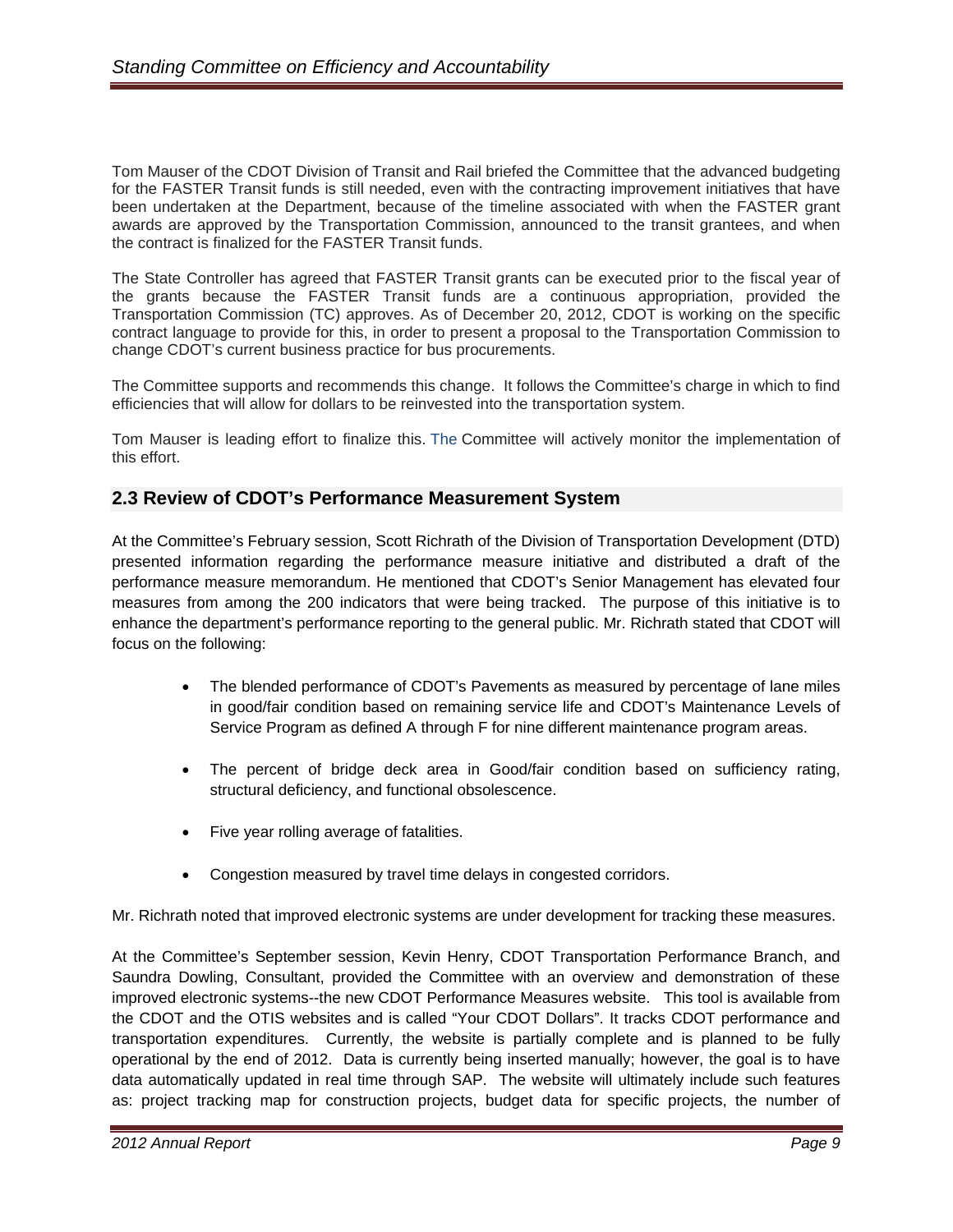Tom Mauser of the CDOT Division of Transit and Rail briefed the Committee that the advanced budgeting for the FASTER Transit funds is still needed, even with the contracting improvement initiatives that have been undertaken at the Department, because of the timeline associated with when the FASTER grant awards are approved by the Transportation Commission, announced to the transit grantees, and when the contract is finalized for the FASTER Transit funds.

The State Controller has agreed that FASTER Transit grants can be executed prior to the fiscal year of the grants because the FASTER Transit funds are a continuous appropriation, provided the Transportation Commission (TC) approves. As of December 20, 2012, CDOT is working on the specific contract language to provide for this, in order to present a proposal to the Transportation Commission to change CDOT's current business practice for bus procurements.

The Committee supports and recommends this change. It follows the Committee's charge in which to find efficiencies that will allow for dollars to be reinvested into the transportation system.

Tom Mauser is leading effort to finalize this. The Committee will actively monitor the implementation of this effort.

#### **2.3 Review of CDOT's Performance Measurement System**

At the Committee's February session, Scott Richrath of the Division of Transportation Development (DTD) presented information regarding the performance measure initiative and distributed a draft of the performance measure memorandum. He mentioned that CDOT's Senior Management has elevated four measures from among the 200 indicators that were being tracked. The purpose of this initiative is to enhance the department's performance reporting to the general public. Mr. Richrath stated that CDOT will focus on the following:

- The blended performance of CDOT's Pavements as measured by percentage of lane miles in good/fair condition based on remaining service life and CDOT's Maintenance Levels of Service Program as defined A through F for nine different maintenance program areas.
- The percent of bridge deck area in Good/fair condition based on sufficiency rating, structural deficiency, and functional obsolescence.
- Five year rolling average of fatalities.
- Congestion measured by travel time delays in congested corridors.

Mr. Richrath noted that improved electronic systems are under development for tracking these measures.

At the Committee's September session, Kevin Henry, CDOT Transportation Performance Branch, and Saundra Dowling, Consultant, provided the Committee with an overview and demonstration of these improved electronic systems--the new CDOT Performance Measures website. This tool is available from the CDOT and the OTIS websites and is called "Your CDOT Dollars". It tracks CDOT performance and transportation expenditures. Currently, the website is partially complete and is planned to be fully operational by the end of 2012. Data is currently being inserted manually; however, the goal is to have data automatically updated in real time through SAP. The website will ultimately include such features as: project tracking map for construction projects, budget data for specific projects, the number of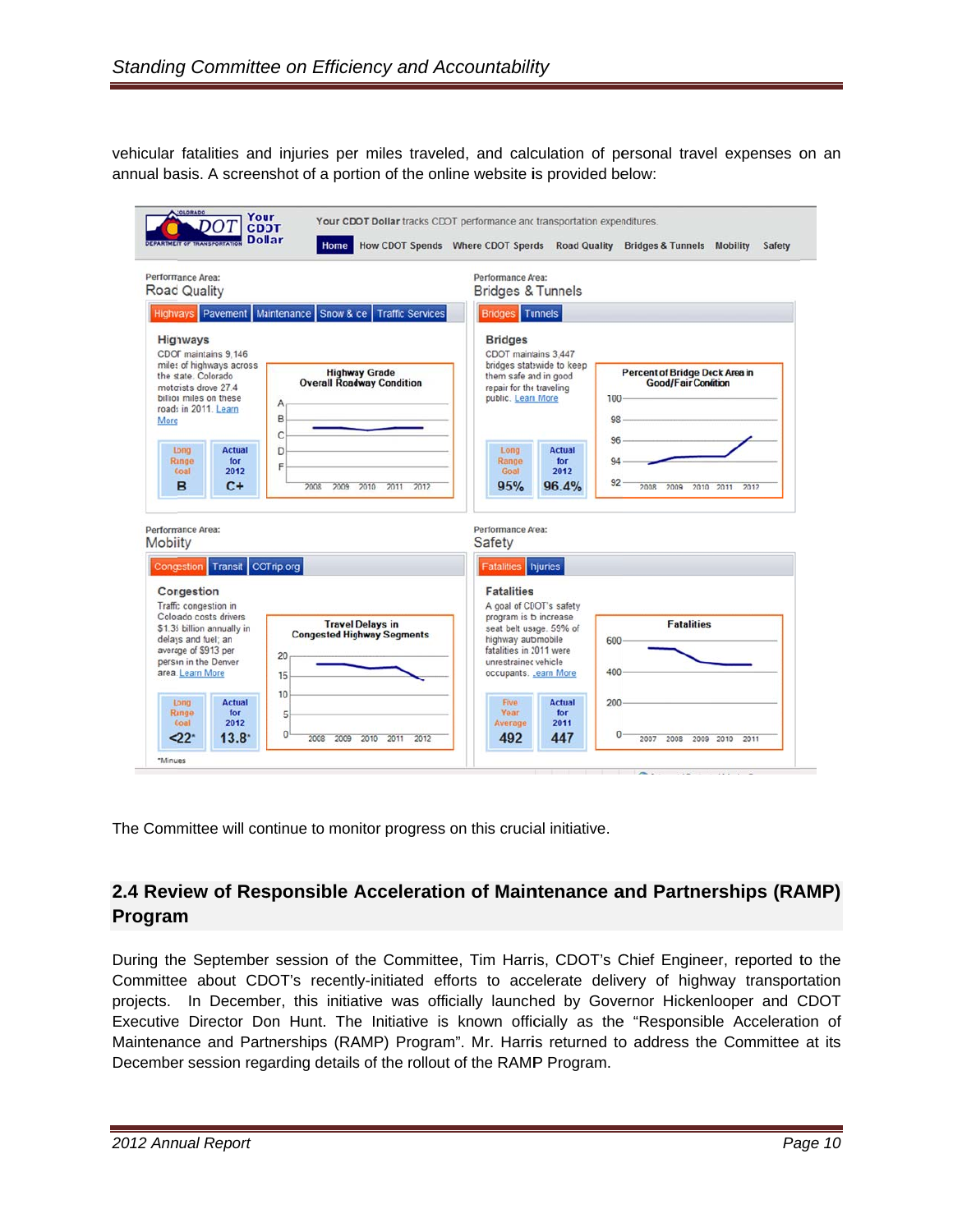vehicular fatalities and injuries per miles traveled, and calculation of personal travel expenses on an annual basis. A screenshot of a portion of the online website is provided below:

| Performance Area:<br>Road Quality<br>Highways Pavement Maintenance                                                                                                                                                      | Snow & ce   Traffic Services                                            | Performance Area:<br><b>Bridges &amp; Tunnels</b><br><b>Bridges</b> Tunnels                                                                                                                                                       |                                                                           |
|-------------------------------------------------------------------------------------------------------------------------------------------------------------------------------------------------------------------------|-------------------------------------------------------------------------|-----------------------------------------------------------------------------------------------------------------------------------------------------------------------------------------------------------------------------------|---------------------------------------------------------------------------|
| <b>Highways</b><br>CDOT maintains 9.146<br>miles of highways across<br>the state. Colorado<br>motorists drove 27.4<br>billios miles on these<br>roads in 2011. Learn<br>More                                            | <b>Highway Grade</b><br><b>Overall Roadway Condition</b><br>А<br>B      | <b>Bridges</b><br>CDOT maintains 3.447<br>bridges statewide to keep<br>them safe and in good<br>repair for the traveling<br>public. Learn More                                                                                    | Percent of Bridge Deck Area in<br><b>Good/Fair Condition</b><br>100<br>98 |
| <b>Actual</b><br>Long<br>Range<br>for<br>Coal<br>2012<br>$C+$<br>в                                                                                                                                                      | C<br>D<br>F<br>2012<br>2008<br>2009<br>2010<br>2011                     | <b>Actual</b><br>Long<br>Range<br>for<br>2012<br>Goal<br>95%<br>96.4%                                                                                                                                                             | 96<br>94<br>92<br>2009<br>2010 2011<br>2012<br>2008                       |
| Performance Area:<br>Mobility                                                                                                                                                                                           |                                                                         | Performance Area:<br>Safety                                                                                                                                                                                                       |                                                                           |
| Congestion Transit COTrip.org<br>Congestion<br>Traffic congestion in<br>Colorado costs drivers<br>\$1.35 billion annually in<br>delays and fuel; an<br>average of \$913 per<br>person in the Denver<br>area. Learn More | <b>TravelDelays in</b><br><b>Congested Highway Segments</b><br>20<br>15 | <b>Fatalities</b> Injuries<br><b>Fatalities</b><br>A goal of CDOT's safety<br>program is to increase<br>seat belt usage. 59% of<br>highway automobile<br>fatalities in 2011 were<br>unrestrained vehicle<br>occupants. Learn More | <b>Fatalities</b><br>600<br>400                                           |
| Long<br><b>Actual</b><br>Range<br>for<br>2012<br>Coal<br>$22 -$<br>13.8 <sup>h</sup>                                                                                                                                    | 10<br>5<br>$\bf{0}$<br>2008<br>2012<br>2009<br>2010<br>2011             | <b>Five</b><br><b>Actual</b><br>Year<br>for<br>2011<br>Average<br>492<br>447                                                                                                                                                      | 200<br>0<br>2007<br>2009 2010<br>2008<br>2011                             |

The Committee will continue to monitor progress on this crucial initiative.

## 2.4 Review of Responsible Acceleration of Maintenance and Partnerships (RAMP) Program

During the September session of the Committee, Tim Harris, CDOT's Chief Engineer, reported to the Committee about CDOT's recently-initiated efforts to accelerate delivery of highway transportation projects. In December, this initiative was officially launched by Governor Hickenlooper and CDOT Executive Director Don Hunt. The Initiative is known officially as the "Responsible Acceleration of Maintenance and Partnerships (RAMP) Program". Mr. Harris returned to address the Committee at its December session regarding details of the rollout of the RAMP Program.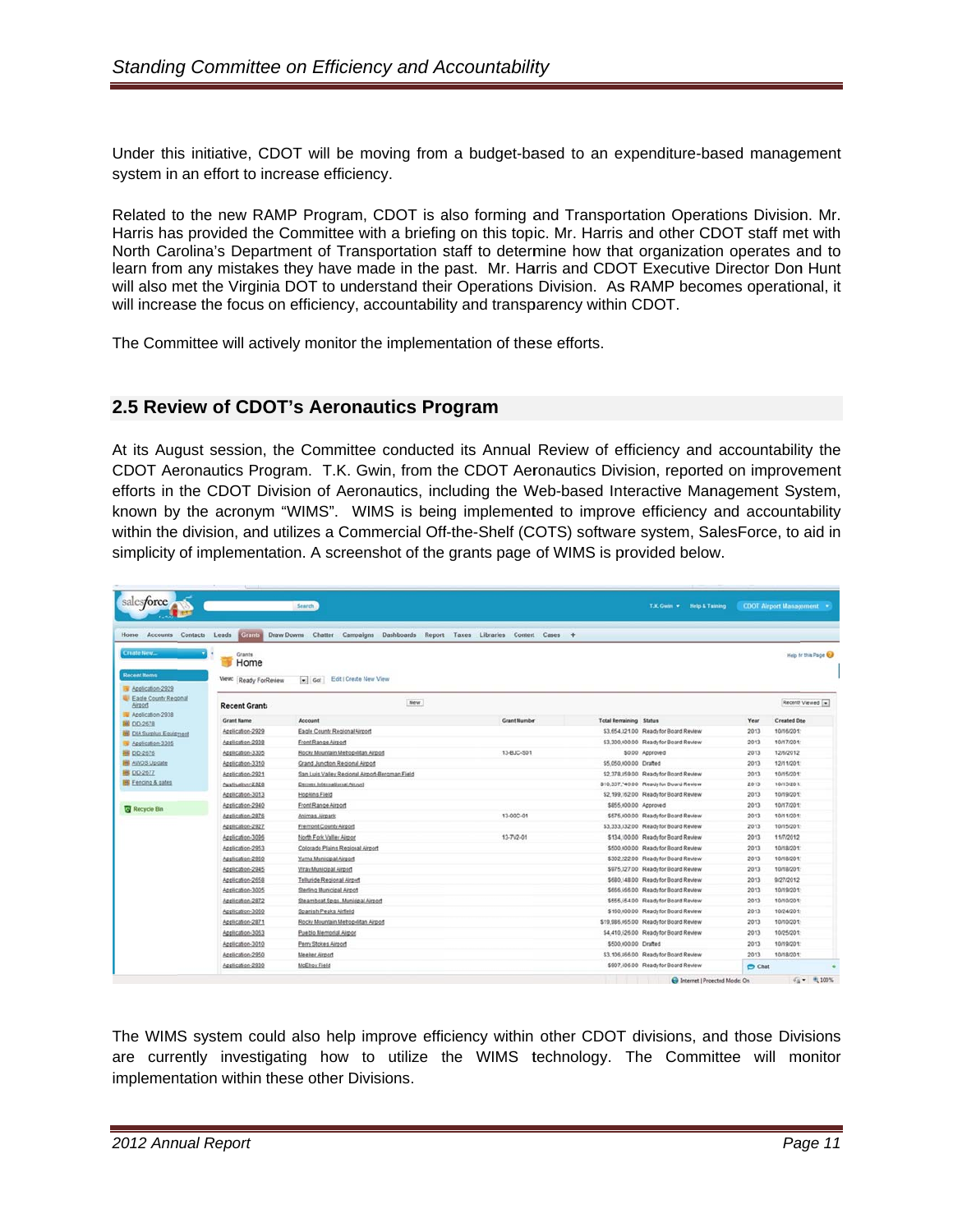Under this initiative, CDOT will be moving from a budget-based to an expenditure-based management system in an effort to increase efficiency.

Related to the new RAMP Program, CDOT is also forming and Transportation Operations Division. Mr. Harris has provided the Committee with a briefing on this topic. Mr. Harris and other CDOT staff met with North Carolina's Department of Transportation staff to determine how that organization operates and to learn from any mistakes they have made in the past. Mr. Harris and CDOT Executive Director Don Hunt will also met the Virginia DOT to understand their Operations Division. As RAMP becomes operational, it will increase the focus on efficiency, accountability and transparency within CDOT.

The Committee will actively monitor the implementation of these efforts.

#### 2.5 Review of CDOT's Aeronautics Program

At its August session, the Committee conducted its Annual Review of efficiency and accountability the CDOT Aeronautics Program. T.K. Gwin, from the CDOT Aeronautics Division, reported on improvement efforts in the CDOT Division of Aeronautics, including the Web-based Interactive Management System, known by the acronym "WIMS". WIMS is being implemented to improve efficiency and accountability within the division, and utilizes a Commercial Off-the-Shelf (COTS) software system, SalesForce, to aid in simplicity of implementation. A screenshot of the grants page of WIMS is provided below.

|                                      |                        | <b>Search</b>                                                                    |                     | T.K. Gwm * Help & Training             |      | <b>CDOT Airport Management +</b> |
|--------------------------------------|------------------------|----------------------------------------------------------------------------------|---------------------|----------------------------------------|------|----------------------------------|
| Accounts Contacts Leads<br>Home      | <b>Grants</b>          | Draw Downs Chatter Carroaigns Dashboards Report: Taxes Libraries Content Cases + |                     |                                        |      |                                  |
| Create New                           | Grants                 |                                                                                  |                     |                                        |      | Help for this Page @             |
|                                      | Home                   |                                                                                  |                     |                                        |      |                                  |
| <b>Recent Items</b>                  | View: Ready For Review | Edit   Crede New View<br>$\bullet$ Got                                           |                     |                                        |      |                                  |
| Application-2929                     |                        |                                                                                  |                     |                                        |      |                                  |
| Eagle County Regional<br>Airport     | <b>Recent Grants</b>   | New.                                                                             |                     |                                        |      | Recently Viewed [w]              |
| Application-2938<br><b>图 DD-2678</b> | <b>Grant Name</b>      | Account                                                                          | <b>Grant Number</b> | <b>Total Remaining Status</b>          | Year | <b>Created Date</b>              |
| <b>IN</b> DIA Surplus Equipment      | Application-2929       | Eagle County Regional lirport                                                    |                     | \$3,654,121.00 Ready for Board Review  | 2013 | 10/16/2012                       |
| Application-3305                     | Application-2938       | Front Range Airport                                                              |                     | \$3,300,000.00 Ready for Board Review  | 2013 | 10/17/2012                       |
| <b>图 DD-2676</b>                     | Application-3305       | Rocky Mountain Metropilitan Airport                                              | 13-BJC-S01          | \$0.00 Approved                        | 2013 | 12/6/2012                        |
| <b>IM</b> AWOS Update                | Application-3310       | Grand Junction Regional Airport                                                  |                     | \$5,050,000.00 Drafted                 | 2013 | 12/11/2012                       |
| MB DD-2677                           | Application-2921       | San Luis Valley Regional Airport-Bergman Field                                   |                     | \$2,378,159.00 Ready for Board Review  | 2013 | 10/15/2012                       |
| <b>IB</b> Fencing & gates            | Application-2928       | Denver International Aircoft                                                     |                     | \$10,357,746.00 Ready for Board Review | 2013 | 10/15/2012                       |
|                                      | Application-3013       | Hopkins Field                                                                    |                     | \$2,199,162.00 Ready for Board Review  | 2013 | 10/19/2012                       |
| Recycle Bin                          | Application-2940       | Front Range Airport                                                              |                     | \$855,900.00 Approved                  | 2013 | 10/17/2012                       |
|                                      | Application-2876       | Animas Airpark                                                                   | 13-00C-01           | \$575,900.00 Ready for Board Review    | 2013 | 10/11/2012                       |
|                                      | Application-2927       | Fremont County Airport                                                           |                     | \$3,333,132.00 Ready for Board Review  | 2013 | 10/15/2012                       |
|                                      | Application-3095       | North Fork Valley Airport                                                        | 13-7V2-01           | \$134.100.00 Ready for Board Review    | 2013 | 11/7/2012                        |
|                                      | Application-2953       | Colorado Plains Regioral Airport                                                 |                     | \$500,000.00 Ready for Board Review    | 2013 | 10/18/2012                       |
|                                      | Application-2950       | Yuma Municipal Airport                                                           |                     | \$302,222.00 Ready for Board Review    | 2013 | 10/18/2012                       |
|                                      | Application-2945       | Wray Municipal Airport                                                           |                     | \$975,127.00 Ready for Board Review    | 2013 | 10/18/2012                       |
|                                      | Application-2658       | Telluride Regional Airpirt                                                       |                     | \$680,148.00 Ready for Board Review    | 2013 | 9/27/2012                        |
|                                      | Application-3005       | Sterling Municipal Airpot                                                        |                     | \$666,966.00 Ready for Board Review    | 2013 | 10/19/2012                       |
|                                      | Application-2872       | Steamboat Spos, Munisipal Airport                                                |                     | \$555,554.00 Ready for Board Review    | 2013 | 10/10/2012                       |
|                                      | Application-3060       | Spanish Peaks Airfield                                                           |                     | \$160,000.00 Ready for Board Review    | 2013 | 10/24/2012                       |
|                                      | Application-2871       | Rocky Mountain Metropolitan Airport                                              |                     | \$19,986,955.00 Ready for Board Review | 2013 | 10/10/2012                       |
|                                      | Application-3053       | Pueblo Memorial Airpor                                                           |                     | \$4,410,526.00 Ready for Board Review  | 2013 | 10/25/2012                       |
|                                      | Application-3010       | Perry Stokes Airport                                                             |                     | \$500,000.00 Drafted                   | 2013 | 10/19/2012                       |
|                                      | Application-2950       | <b>Meeker Airport</b>                                                            |                     | \$3.105.166.00 Ready for Board Review  | 2013 | 10/18/2012                       |
|                                      | Application-2930       | <b>McElroy Field</b>                                                             |                     | \$907,406.00 Ready for Board Review    | Chat |                                  |

The WIMS system could also help improve efficiency within other CDOT divisions, and those Divisions are currently investigating how to utilize the WIMS technology. The Committee will monitor implementation within these other Divisions.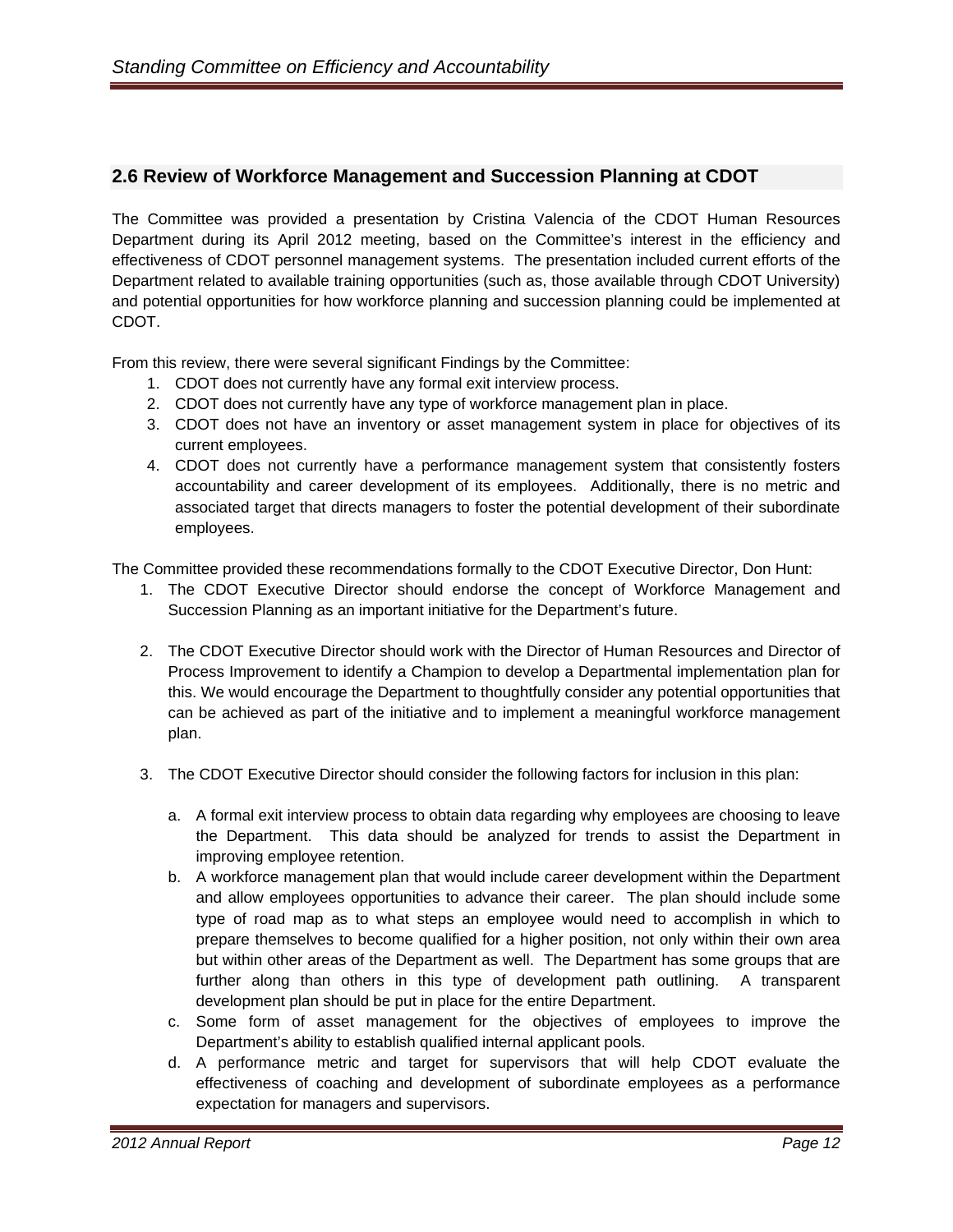## **2.6 Review of Workforce Management and Succession Planning at CDOT**

The Committee was provided a presentation by Cristina Valencia of the CDOT Human Resources Department during its April 2012 meeting, based on the Committee's interest in the efficiency and effectiveness of CDOT personnel management systems. The presentation included current efforts of the Department related to available training opportunities (such as, those available through CDOT University) and potential opportunities for how workforce planning and succession planning could be implemented at CDOT.

From this review, there were several significant Findings by the Committee:

- 1. CDOT does not currently have any formal exit interview process.
- 2. CDOT does not currently have any type of workforce management plan in place.
- 3. CDOT does not have an inventory or asset management system in place for objectives of its current employees.
- 4. CDOT does not currently have a performance management system that consistently fosters accountability and career development of its employees. Additionally, there is no metric and associated target that directs managers to foster the potential development of their subordinate employees.

The Committee provided these recommendations formally to the CDOT Executive Director, Don Hunt:

- 1. The CDOT Executive Director should endorse the concept of Workforce Management and Succession Planning as an important initiative for the Department's future.
- 2. The CDOT Executive Director should work with the Director of Human Resources and Director of Process Improvement to identify a Champion to develop a Departmental implementation plan for this. We would encourage the Department to thoughtfully consider any potential opportunities that can be achieved as part of the initiative and to implement a meaningful workforce management plan.
- 3. The CDOT Executive Director should consider the following factors for inclusion in this plan:
	- a. A formal exit interview process to obtain data regarding why employees are choosing to leave the Department. This data should be analyzed for trends to assist the Department in improving employee retention.
	- b. A workforce management plan that would include career development within the Department and allow employees opportunities to advance their career. The plan should include some type of road map as to what steps an employee would need to accomplish in which to prepare themselves to become qualified for a higher position, not only within their own area but within other areas of the Department as well. The Department has some groups that are further along than others in this type of development path outlining. A transparent development plan should be put in place for the entire Department.
	- c. Some form of asset management for the objectives of employees to improve the Department's ability to establish qualified internal applicant pools.
	- d. A performance metric and target for supervisors that will help CDOT evaluate the effectiveness of coaching and development of subordinate employees as a performance expectation for managers and supervisors.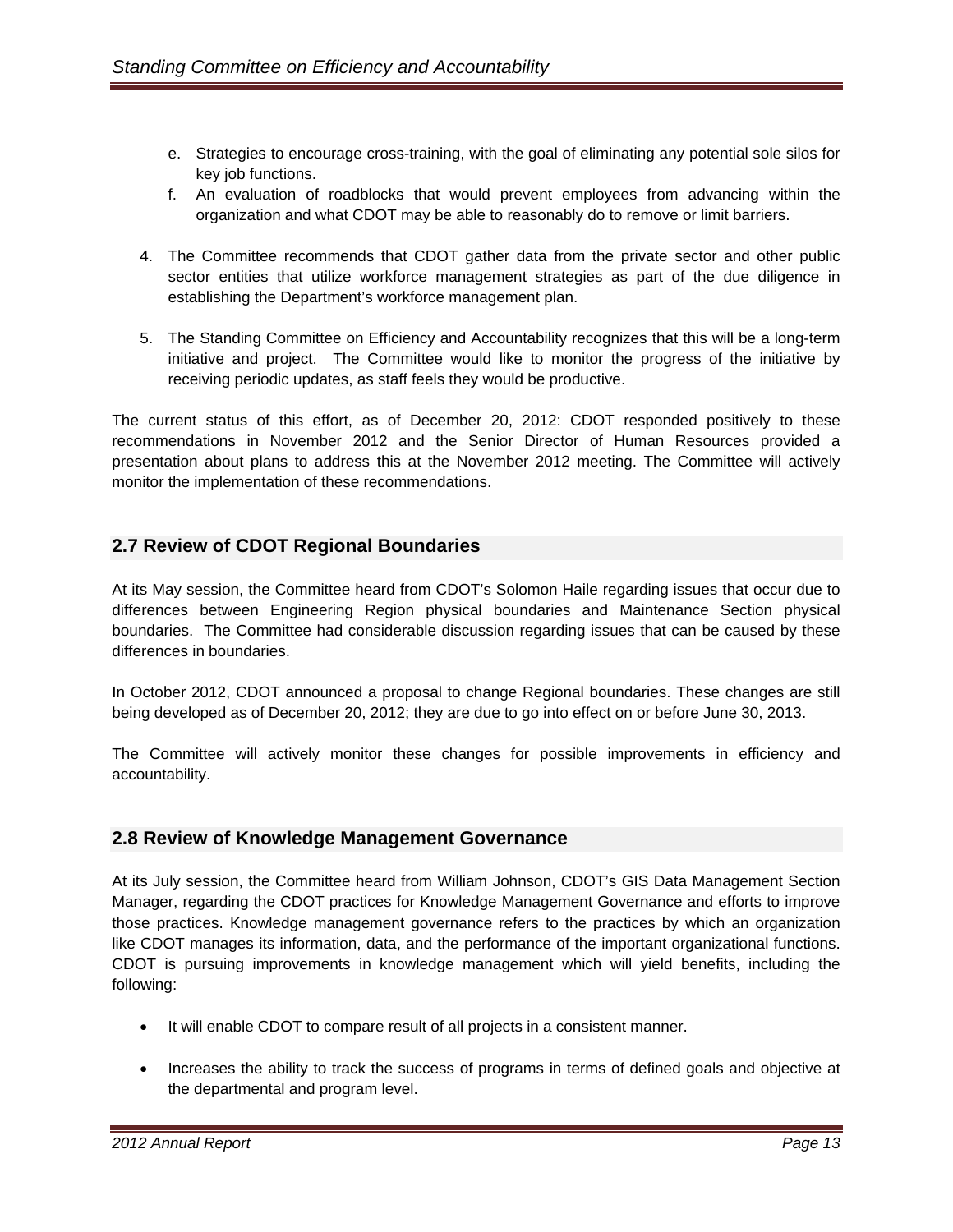- e. Strategies to encourage cross-training, with the goal of eliminating any potential sole silos for key job functions.
- f. An evaluation of roadblocks that would prevent employees from advancing within the organization and what CDOT may be able to reasonably do to remove or limit barriers.
- 4. The Committee recommends that CDOT gather data from the private sector and other public sector entities that utilize workforce management strategies as part of the due diligence in establishing the Department's workforce management plan.
- 5. The Standing Committee on Efficiency and Accountability recognizes that this will be a long-term initiative and project. The Committee would like to monitor the progress of the initiative by receiving periodic updates, as staff feels they would be productive.

The current status of this effort, as of December 20, 2012: CDOT responded positively to these recommendations in November 2012 and the Senior Director of Human Resources provided a presentation about plans to address this at the November 2012 meeting. The Committee will actively monitor the implementation of these recommendations.

## **2.7 Review of CDOT Regional Boundaries**

At its May session, the Committee heard from CDOT's Solomon Haile regarding issues that occur due to differences between Engineering Region physical boundaries and Maintenance Section physical boundaries. The Committee had considerable discussion regarding issues that can be caused by these differences in boundaries.

In October 2012, CDOT announced a proposal to change Regional boundaries. These changes are still being developed as of December 20, 2012; they are due to go into effect on or before June 30, 2013.

The Committee will actively monitor these changes for possible improvements in efficiency and accountability.

### **2.8 Review of Knowledge Management Governance**

At its July session, the Committee heard from William Johnson, CDOT's GIS Data Management Section Manager, regarding the CDOT practices for Knowledge Management Governance and efforts to improve those practices. Knowledge management governance refers to the practices by which an organization like CDOT manages its information, data, and the performance of the important organizational functions. CDOT is pursuing improvements in knowledge management which will yield benefits, including the following:

- It will enable CDOT to compare result of all projects in a consistent manner.
- Increases the ability to track the success of programs in terms of defined goals and objective at the departmental and program level.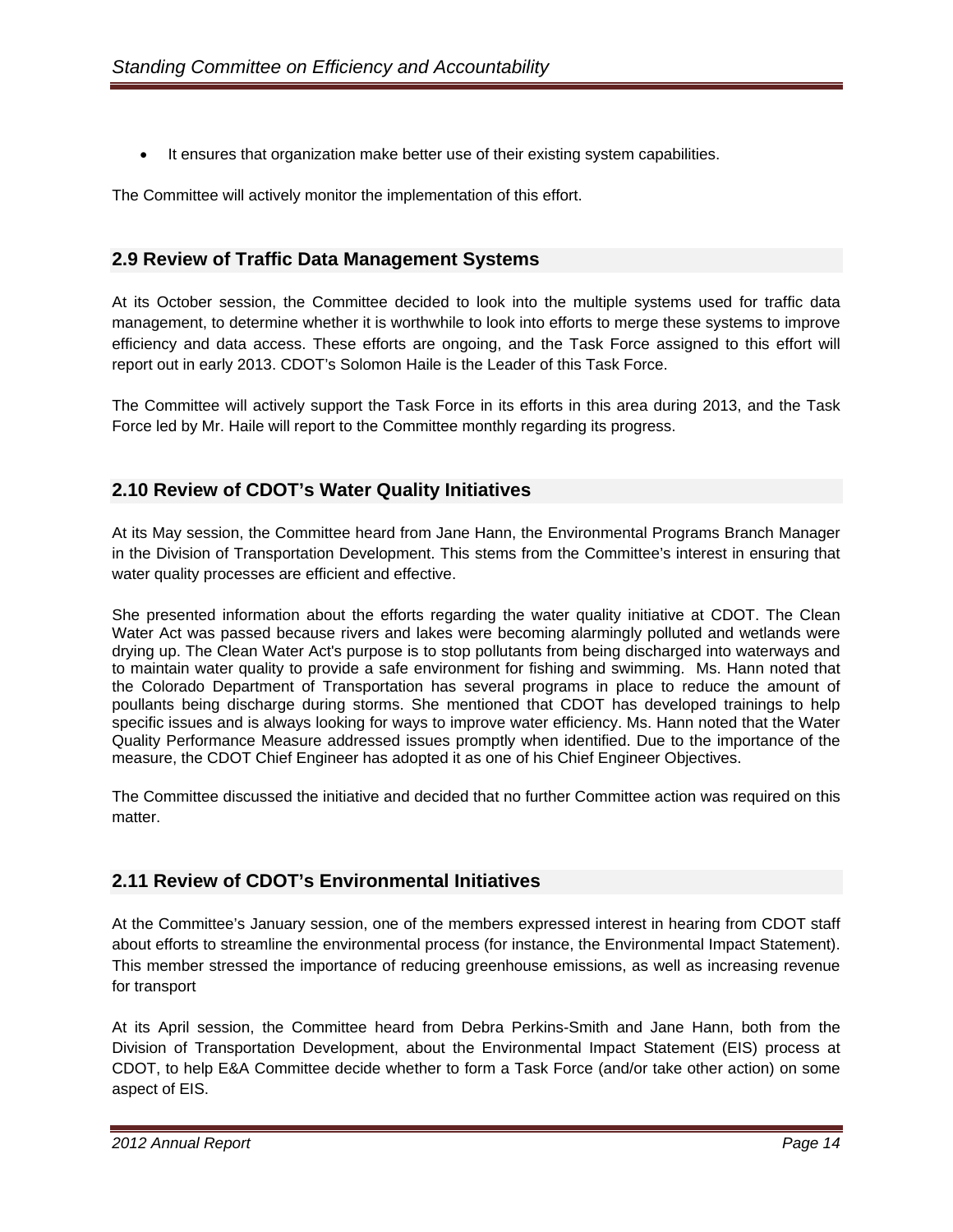• It ensures that organization make better use of their existing system capabilities.

The Committee will actively monitor the implementation of this effort.

### **2.9 Review of Traffic Data Management Systems**

At its October session, the Committee decided to look into the multiple systems used for traffic data management, to determine whether it is worthwhile to look into efforts to merge these systems to improve efficiency and data access. These efforts are ongoing, and the Task Force assigned to this effort will report out in early 2013. CDOT's Solomon Haile is the Leader of this Task Force.

The Committee will actively support the Task Force in its efforts in this area during 2013, and the Task Force led by Mr. Haile will report to the Committee monthly regarding its progress.

#### **2.10 Review of CDOT's Water Quality Initiatives**

At its May session, the Committee heard from Jane Hann, the Environmental Programs Branch Manager in the Division of Transportation Development. This stems from the Committee's interest in ensuring that water quality processes are efficient and effective.

She presented information about the efforts regarding the water quality initiative at CDOT. The Clean Water Act was passed because rivers and lakes were becoming alarmingly polluted and wetlands were drying up. The Clean Water Act's purpose is to stop pollutants from being discharged into waterways and to maintain water quality to provide a safe environment for fishing and swimming. Ms. Hann noted that the Colorado Department of Transportation has several programs in place to reduce the amount of poullants being discharge during storms. She mentioned that CDOT has developed trainings to help specific issues and is always looking for ways to improve water efficiency. Ms. Hann noted that the Water Quality Performance Measure addressed issues promptly when identified. Due to the importance of the measure, the CDOT Chief Engineer has adopted it as one of his Chief Engineer Objectives.

The Committee discussed the initiative and decided that no further Committee action was required on this matter.

### **2.11 Review of CDOT's Environmental Initiatives**

At the Committee's January session, one of the members expressed interest in hearing from CDOT staff about efforts to streamline the environmental process (for instance, the Environmental Impact Statement). This member stressed the importance of reducing greenhouse emissions, as well as increasing revenue for transport

At its April session, the Committee heard from Debra Perkins-Smith and Jane Hann, both from the Division of Transportation Development, about the Environmental Impact Statement (EIS) process at CDOT, to help E&A Committee decide whether to form a Task Force (and/or take other action) on some aspect of EIS.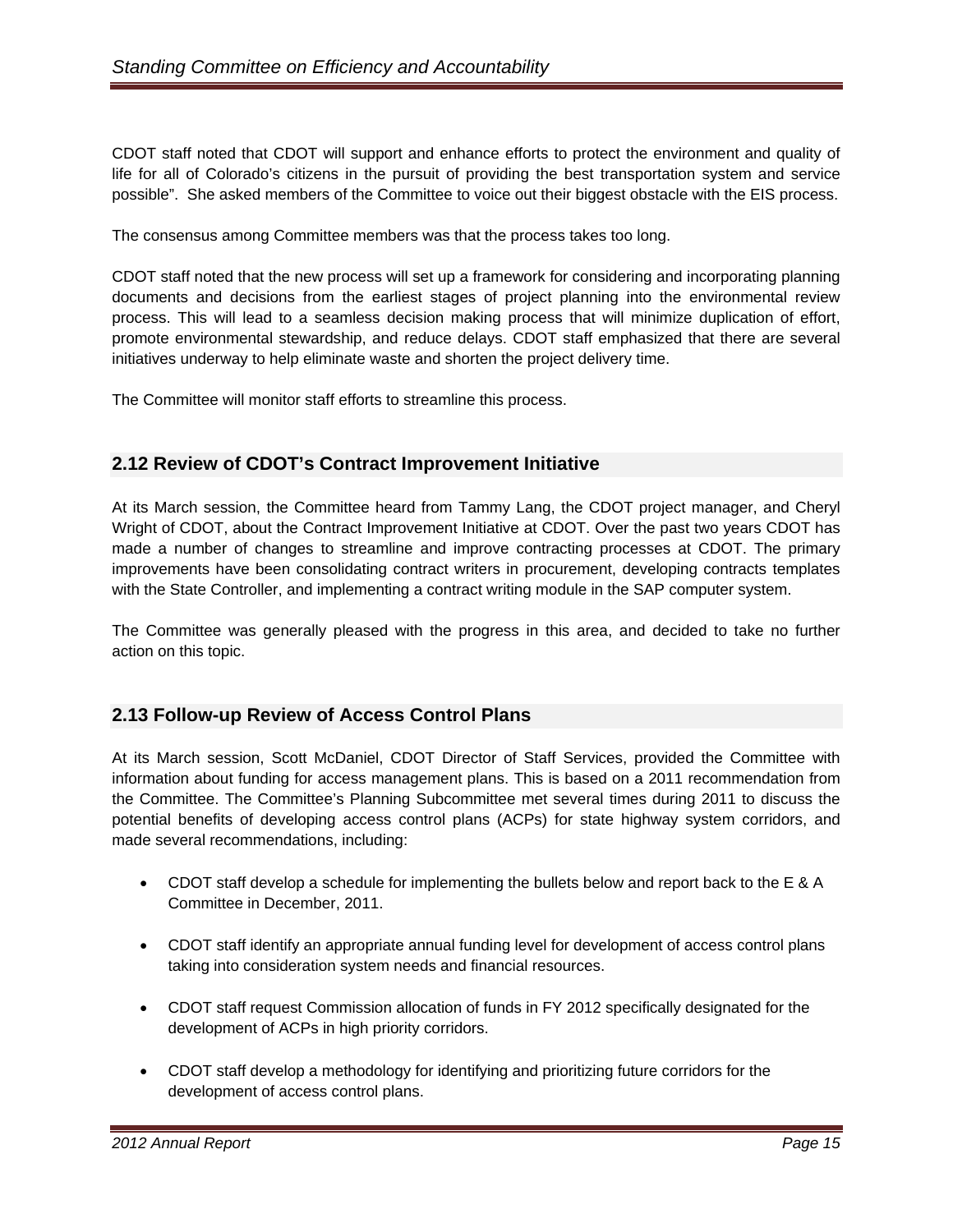CDOT staff noted that CDOT will support and enhance efforts to protect the environment and quality of life for all of Colorado's citizens in the pursuit of providing the best transportation system and service possible". She asked members of the Committee to voice out their biggest obstacle with the EIS process.

The consensus among Committee members was that the process takes too long.

CDOT staff noted that the new process will set up a framework for considering and incorporating planning documents and decisions from the earliest stages of project planning into the environmental review process. This will lead to a seamless decision making process that will minimize duplication of effort, promote environmental stewardship, and reduce delays. CDOT staff emphasized that there are several initiatives underway to help eliminate waste and shorten the project delivery time.

The Committee will monitor staff efforts to streamline this process.

#### **2.12 Review of CDOT's Contract Improvement Initiative**

At its March session, the Committee heard from Tammy Lang, the CDOT project manager, and Cheryl Wright of CDOT, about the Contract Improvement Initiative at CDOT. Over the past two years CDOT has made a number of changes to streamline and improve contracting processes at CDOT. The primary improvements have been consolidating contract writers in procurement, developing contracts templates with the State Controller, and implementing a contract writing module in the SAP computer system.

The Committee was generally pleased with the progress in this area, and decided to take no further action on this topic.

#### **2.13 Follow-up Review of Access Control Plans**

At its March session, Scott McDaniel, CDOT Director of Staff Services, provided the Committee with information about funding for access management plans. This is based on a 2011 recommendation from the Committee. The Committee's Planning Subcommittee met several times during 2011 to discuss the potential benefits of developing access control plans (ACPs) for state highway system corridors, and made several recommendations, including:

- CDOT staff develop a schedule for implementing the bullets below and report back to the E & A Committee in December, 2011.
- CDOT staff identify an appropriate annual funding level for development of access control plans taking into consideration system needs and financial resources.
- CDOT staff request Commission allocation of funds in FY 2012 specifically designated for the development of ACPs in high priority corridors.
- CDOT staff develop a methodology for identifying and prioritizing future corridors for the development of access control plans.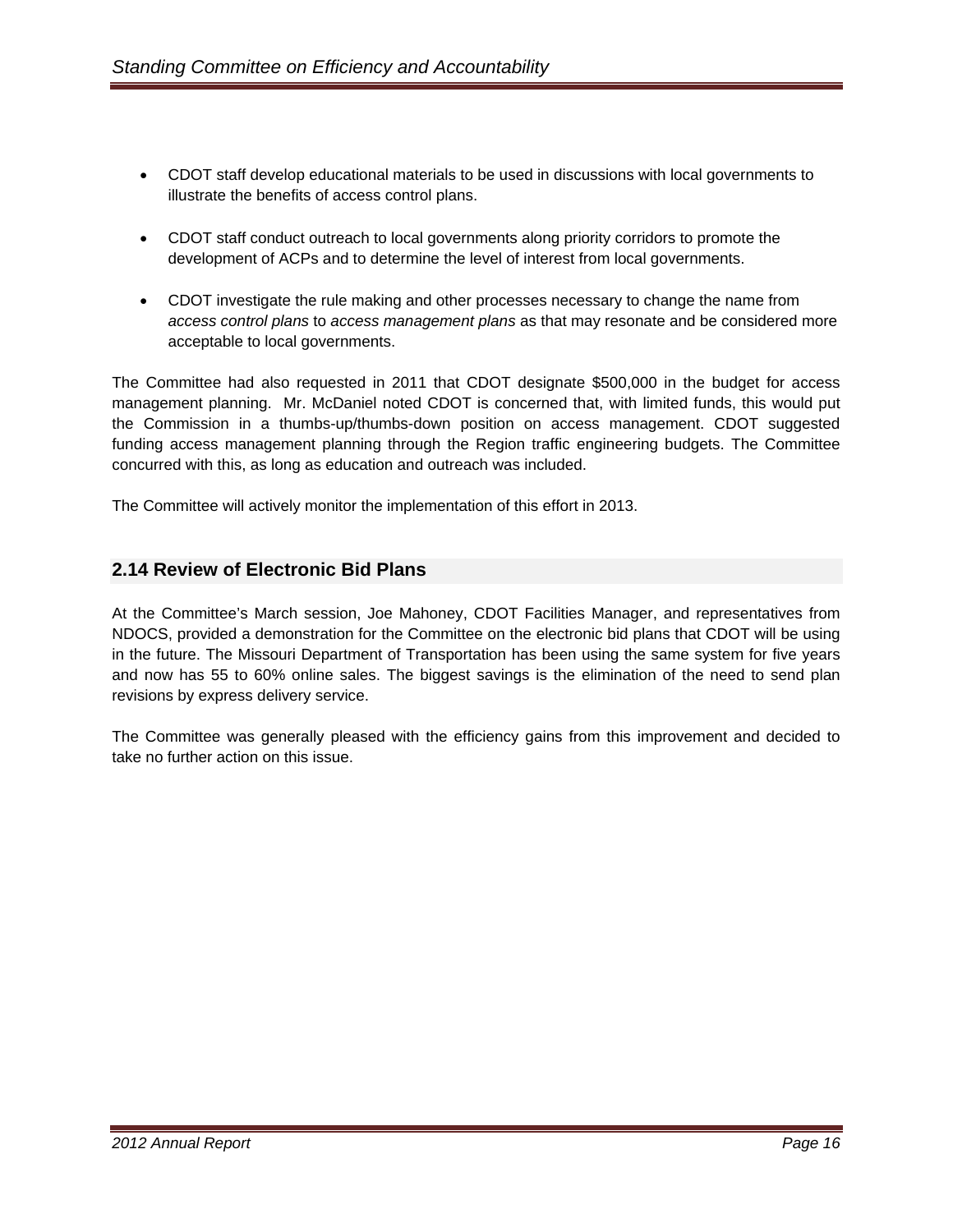- CDOT staff develop educational materials to be used in discussions with local governments to illustrate the benefits of access control plans.
- CDOT staff conduct outreach to local governments along priority corridors to promote the development of ACPs and to determine the level of interest from local governments.
- CDOT investigate the rule making and other processes necessary to change the name from *access control plans* to *access management plans* as that may resonate and be considered more acceptable to local governments.

The Committee had also requested in 2011 that CDOT designate \$500,000 in the budget for access management planning. Mr. McDaniel noted CDOT is concerned that, with limited funds, this would put the Commission in a thumbs-up/thumbs-down position on access management. CDOT suggested funding access management planning through the Region traffic engineering budgets. The Committee concurred with this, as long as education and outreach was included.

The Committee will actively monitor the implementation of this effort in 2013.

## **2.14 Review of Electronic Bid Plans**

At the Committee's March session, Joe Mahoney, CDOT Facilities Manager, and representatives from NDOCS, provided a demonstration for the Committee on the electronic bid plans that CDOT will be using in the future. The Missouri Department of Transportation has been using the same system for five years and now has 55 to 60% online sales. The biggest savings is the elimination of the need to send plan revisions by express delivery service.

The Committee was generally pleased with the efficiency gains from this improvement and decided to take no further action on this issue.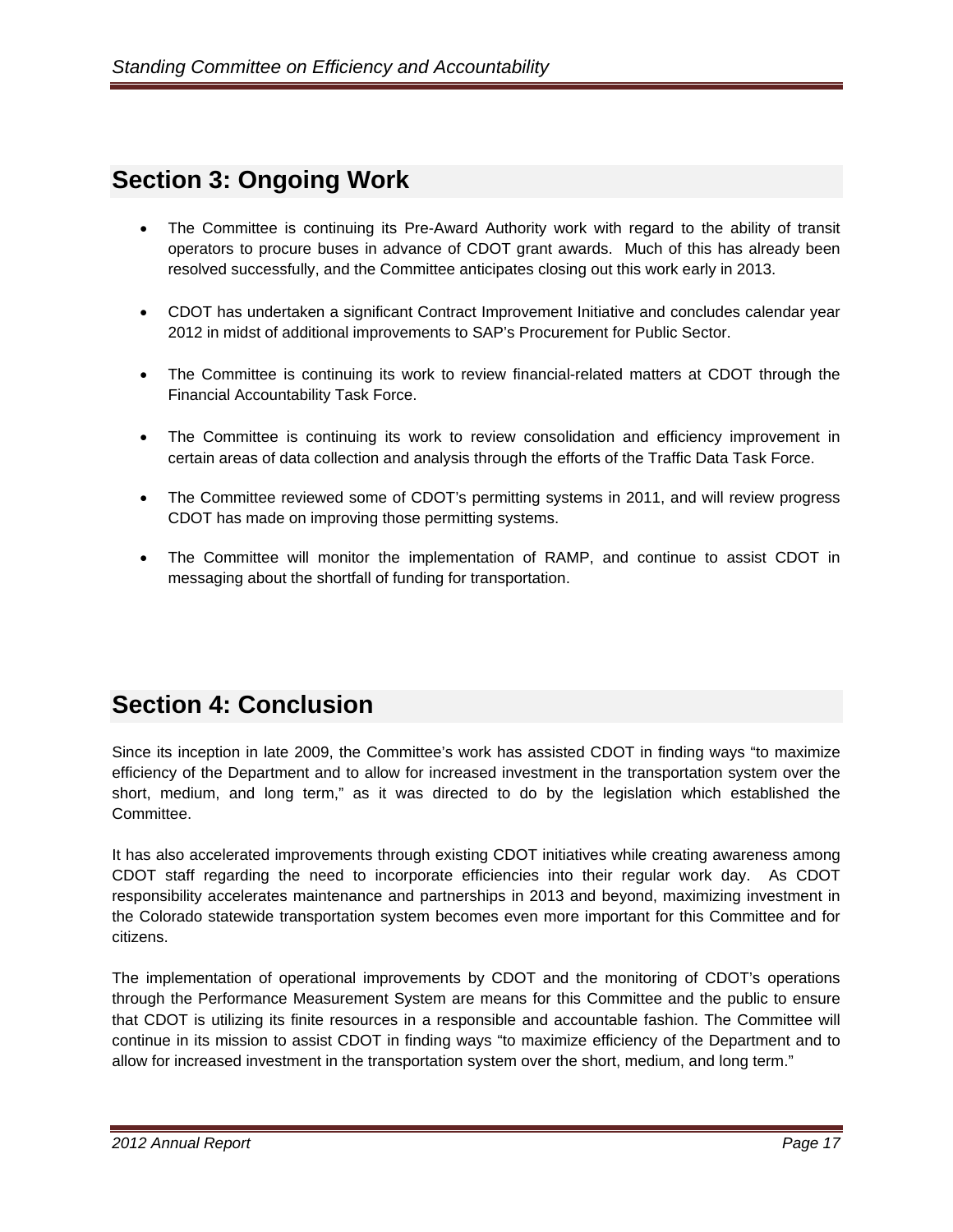## **Section 3: Ongoing Work**

- The Committee is continuing its Pre-Award Authority work with regard to the ability of transit operators to procure buses in advance of CDOT grant awards. Much of this has already been resolved successfully, and the Committee anticipates closing out this work early in 2013.
- CDOT has undertaken a significant Contract Improvement Initiative and concludes calendar year 2012 in midst of additional improvements to SAP's Procurement for Public Sector.
- The Committee is continuing its work to review financial-related matters at CDOT through the Financial Accountability Task Force.
- The Committee is continuing its work to review consolidation and efficiency improvement in certain areas of data collection and analysis through the efforts of the Traffic Data Task Force.
- The Committee reviewed some of CDOT's permitting systems in 2011, and will review progress CDOT has made on improving those permitting systems.
- The Committee will monitor the implementation of RAMP, and continue to assist CDOT in messaging about the shortfall of funding for transportation.

## **Section 4: Conclusion**

Since its inception in late 2009, the Committee's work has assisted CDOT in finding ways "to maximize efficiency of the Department and to allow for increased investment in the transportation system over the short, medium, and long term," as it was directed to do by the legislation which established the Committee.

It has also accelerated improvements through existing CDOT initiatives while creating awareness among CDOT staff regarding the need to incorporate efficiencies into their regular work day. As CDOT responsibility accelerates maintenance and partnerships in 2013 and beyond, maximizing investment in the Colorado statewide transportation system becomes even more important for this Committee and for citizens.

The implementation of operational improvements by CDOT and the monitoring of CDOT's operations through the Performance Measurement System are means for this Committee and the public to ensure that CDOT is utilizing its finite resources in a responsible and accountable fashion. The Committee will continue in its mission to assist CDOT in finding ways "to maximize efficiency of the Department and to allow for increased investment in the transportation system over the short, medium, and long term."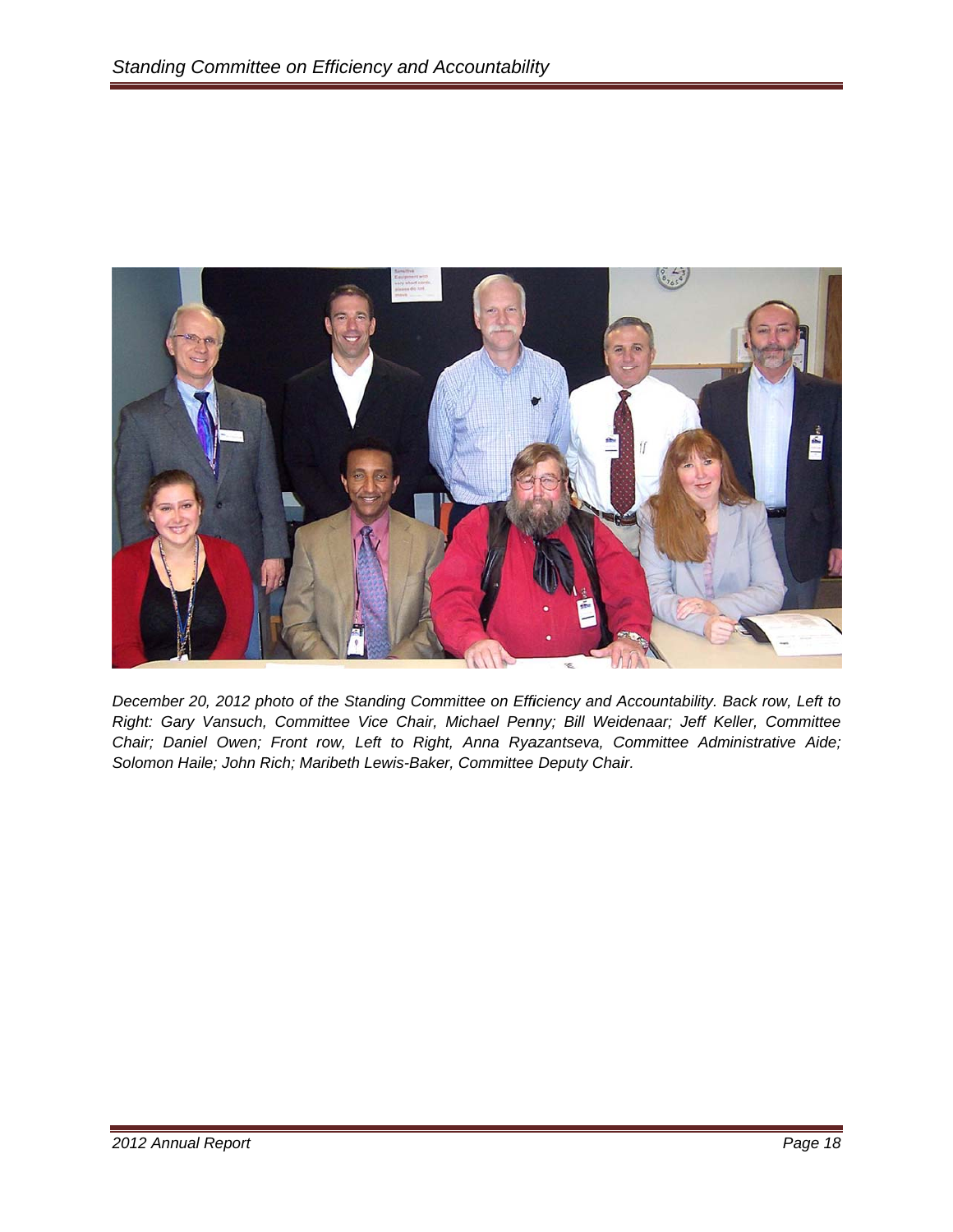

*December 20, 2012 photo of the Standing Committee on Efficiency and Accountability. Back row, Left to Right: Ga ary Vansuch, Committee Vice Chair, Michael Pen nny; Bill Weid denaar; Jeff Keller, Comm mittee Chair; Daniel Owen; Front row, Left to Right, Anna Ryazantseva, Committee Administrative Aide;* Solomon Haile; John Rich; Maribeth Lewis-Baker, Committee Deputy Chair.